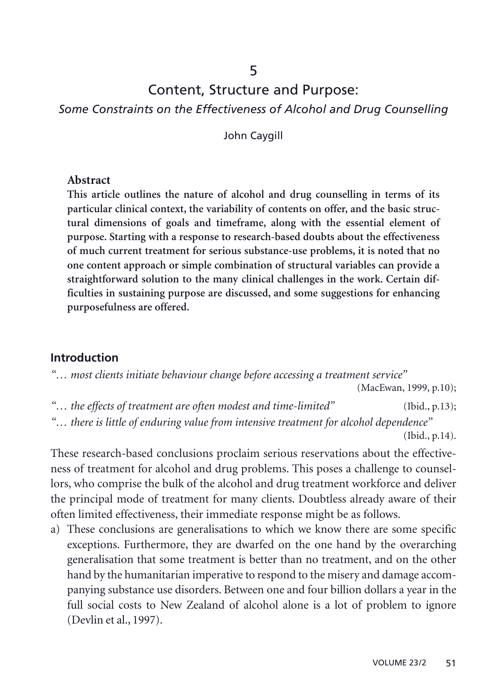### 5

## Content, Structure and Purpose:

*Some Constraints on the Effectiveness of Alcohol and Drug Counselling*

John Caygill

#### **Abstract**

**This article outlines the nature of alcohol and drug counselling in terms of its particular clinical context, the variability of contents on offer, and the basic structural dimensions of goals and timeframe, along with the essential element of purpose. Starting with a response to research-based doubts about the effectiveness of much current treatment for serious substance-use problems, it is noted that no one content approach or simple combination of structural variables can provide a straightforward solution to the many clinical challenges in the work. Certain difficulties in sustaining purpose are discussed, and some suggestions for enhancing purposefulness are offered.**

#### **Introduction**

*"… most clients initiate behaviour change before accessing a treatment service"*

(MacEwan, 1999, p.10);

- *"… the effects of treatment are often modest and time-limited"* (Ibid., p.13);
- *"… there is little of enduring value from intensive treatment for alcohol dependence"* (Ibid., p.14).

These research-based conclusions proclaim serious reservations about the effectiveness of treatment for alcohol and drug problems. This poses a challenge to counsellors, who comprise the bulk of the alcohol and drug treatment workforce and deliver the principal mode of treatment for many clients. Doubtless already aware of their often limited effectiveness, their immediate response might be as follows.

a) These conclusions are generalisations to which we know there are some specific exceptions. Furthermore, they are dwarfed on the one hand by the overarching generalisation that some treatment is better than no treatment, and on the other hand by the humanitarian imperative to respond to the misery and damage accompanying substance use disorders. Between one and four billion dollars a year in the full social costs to New Zealand of alcohol alone is a lot of problem to ignore (Devlin et al., 1997).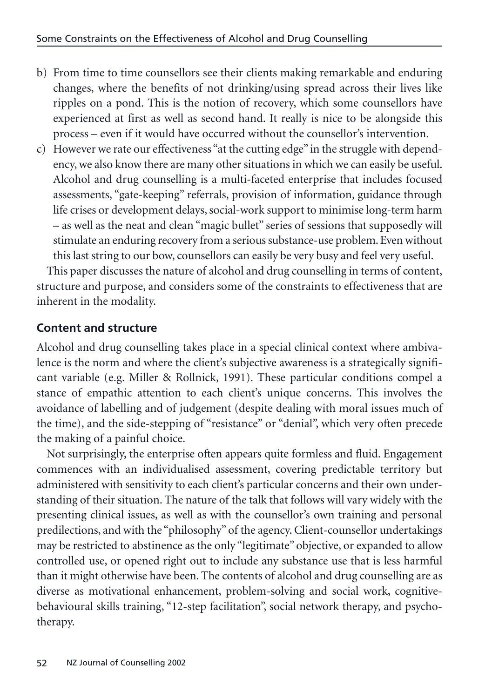- b) From time to time counsellors see their clients making remarkable and enduring changes, where the benefits of not drinking/using spread across their lives like ripples on a pond. This is the notion of recovery, which some counsellors have experienced at first as well as second hand. It really is nice to be alongside this process – even if it would have occurred without the counsellor's intervention.
- c) However we rate our effectiveness "at the cutting edge" in the struggle with dependency, we also know there are many other situations in which we can easily be useful. Alcohol and drug counselling is a multi-faceted enterprise that includes focused assessments, "gate-keeping" referrals, provision of information, guidance through life crises or development delays, social-work support to minimise long-term harm – as well as the neat and clean "magic bullet" series of sessions that supposedly will stimulate an enduring recovery from a serious substance-use problem. Even without this last string to our bow, counsellors can easily be very busy and feel very useful.

This paper discusses the nature of alcohol and drug counselling in terms of content, structure and purpose, and considers some of the constraints to effectiveness that are inherent in the modality.

## **Content and structure**

Alcohol and drug counselling takes place in a special clinical context where ambivalence is the norm and where the client's subjective awareness is a strategically significant variable (e.g. Miller & Rollnick, 1991). These particular conditions compel a stance of empathic attention to each client's unique concerns. This involves the avoidance of labelling and of judgement (despite dealing with moral issues much of the time), and the side-stepping of "resistance" or "denial", which very often precede the making of a painful choice.

Not surprisingly, the enterprise often appears quite formless and fluid. Engagement commences with an individualised assessment, covering predictable territory but administered with sensitivity to each client's particular concerns and their own understanding of their situation. The nature of the talk that follows will vary widely with the presenting clinical issues, as well as with the counsellor's own training and personal predilections, and with the "philosophy" of the agency. Client-counsellor undertakings may be restricted to abstinence as the only "legitimate" objective, or expanded to allow controlled use, or opened right out to include any substance use that is less harmful than it might otherwise have been. The contents of alcohol and drug counselling are as diverse as motivational enhancement, problem-solving and social work, cognitivebehavioural skills training, "12-step facilitation", social network therapy, and psychotherapy.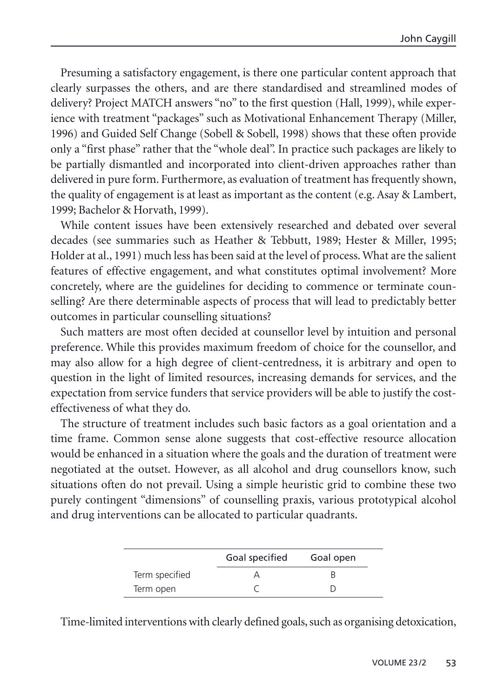Presuming a satisfactory engagement, is there one particular content approach that clearly surpasses the others, and are there standardised and streamlined modes of delivery? Project MATCH answers "no" to the first question (Hall, 1999), while experience with treatment "packages" such as Motivational Enhancement Therapy (Miller, 1996) and Guided Self Change (Sobell & Sobell, 1998) shows that these often provide only a "first phase" rather that the "whole deal". In practice such packages are likely to be partially dismantled and incorporated into client-driven approaches rather than delivered in pure form. Furthermore, as evaluation of treatment has frequently shown, the quality of engagement is at least as important as the content (e.g. Asay & Lambert, 1999; Bachelor & Horvath, 1999).

While content issues have been extensively researched and debated over several decades (see summaries such as Heather & Tebbutt, 1989; Hester & Miller, 1995; Holder at al., 1991) much less has been said at the level of process. What are the salient features of effective engagement, and what constitutes optimal involvement? More concretely, where are the guidelines for deciding to commence or terminate counselling? Are there determinable aspects of process that will lead to predictably better outcomes in particular counselling situations?

Such matters are most often decided at counsellor level by intuition and personal preference. While this provides maximum freedom of choice for the counsellor, and may also allow for a high degree of client-centredness, it is arbitrary and open to question in the light of limited resources, increasing demands for services, and the expectation from service funders that service providers will be able to justify the costeffectiveness of what they do.

The structure of treatment includes such basic factors as a goal orientation and a time frame. Common sense alone suggests that cost-effective resource allocation would be enhanced in a situation where the goals and the duration of treatment were negotiated at the outset. However, as all alcohol and drug counsellors know, such situations often do not prevail. Using a simple heuristic grid to combine these two purely contingent "dimensions" of counselling praxis, various prototypical alcohol and drug interventions can be allocated to particular quadrants.

|                | Goal specified | Goal open |
|----------------|----------------|-----------|
| Term specified |                |           |
| Term open      |                |           |

Time-limited interventions with clearly defined goals, such as organising detoxication,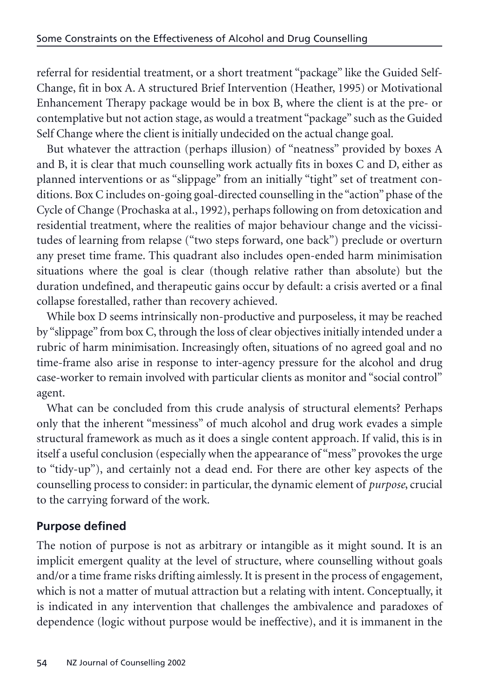<span id="page-3-0"></span>referral for residential treatment, or a short treatment "package" like the Guided Self-Change, fit in box A. A structured Brief Intervention (Heather, 1995) or Motivational Enhancement Therapy package would be in box B, where the client is at the pre- or contemplative but not action stage, as would a treatment "package" such as the Guided Self Change where the client is initially undecided on the actual change goal.

But whatever the attraction (perhaps illusion) of "neatness" provided by boxes A and B, it is clear that much counselling work actually fits in boxes C and D, either as planned interventions or as "slippage" from an initially "tight" set of treatment conditions. Box C includes on-going goal-directed counselling in the "action" phase of the Cycle of Change (Prochaska at al., 1992), perhaps following on from detoxication and residential treatment, where the realities of major behaviour change and the vicissitudes of learning from relapse ("two steps forward, one back") preclude or overturn any preset time frame. This quadrant also includes open-ended harm minimisation situations where the goal is clear (though relative rather than absolute) but the duration undefined, and therapeutic gains occur by default: a crisis averted or a final collapse forestalled, rather than recovery achieved.

While box D seems intrinsically non-productive and purposeless, it may be reached by "slippage" from box C, through the loss of clear objectives initially intended under a rubric of harm minimisation. Increasingly often, situations of no agreed goal and no time-frame also arise in response to inter-agency pressure for the alcohol and drug case-worker to remain involved with particular clients as monitor and "social control" agent.

What can be concluded from this crude analysis of structural elements? Perhaps only that the inherent "messiness" of much alcohol and drug work evades a simple structural framework as much as it does a single content approach. If valid, this is in itself a useful conclusion (especially when the appearance of "mess" provokes the urge to "tidy-up"), and certainly not a dead end. For there are other key aspects of the counselling process to consider: in particular, the dynamic element of *purpose*, crucial to the carrying forward of the work.

## **Purpose defined**

The notion of purpose is not as arbitrary or intangible as it might sound. It is an implicit emergent quality at the level of structure, where counselling without goals and/or a time frame risks drifting aimlessly. It is present in the process of engagement, which is not a matter of mutual attraction but a relating with intent. Conceptually, it is indicated in any intervention that challenges the ambivalence and paradoxes of dependence (logic without purpose would be ineffective), and it is immanent in the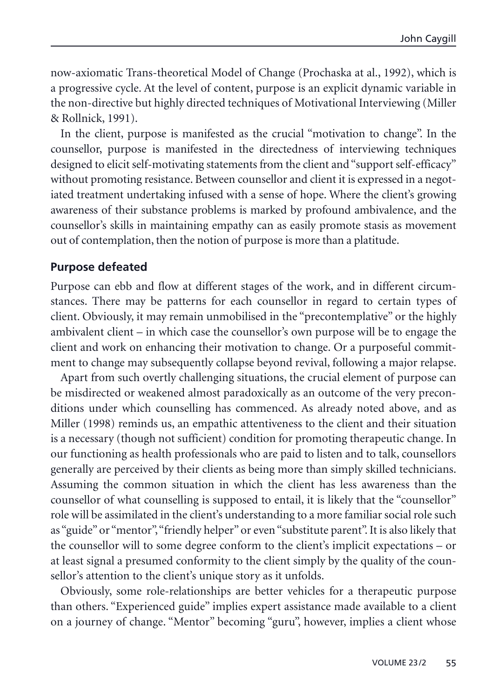now-axiomatic Trans-theoretical Model of Change (Prochaska at al., 1992), which is a progressive cycle. At the level of content, purpose is an explicit dynamic variable in the non-directive but highly directed techniques of Motivational Interviewing (Miller & Rollnick, 1991).

In the client, purpose is manifested as the crucial "motivation to change". In the counsellor, purpose is manifested in the directedness of interviewing techniques designed to elicit self-motivating statements from the client and "support self-efficacy" without promoting resistance. Between counsellor and client it is expressed in a negotiated treatment undertaking infused with a sense of hope. Where the client's growing awareness of their substance problems is marked by profound ambivalence, and the counsellor's skills in maintaining empathy can as easily promote stasis as movement out of contemplation, then the notion of purpose is more than a platitude.

#### **Purpose defeated**

Purpose can ebb and flow at different stages of the work, and in different circumstances. There may be patterns for each counsellor in regard to certain types of client. Obviously, it may remain unmobilised in the "precontemplative" or the highly ambivalent client – in which case the counsellor's own purpose will be to engage the client and work on enhancing their motivation to change. Or a purposeful commitment to change may subsequently collapse beyond revival, following a major relapse.

Apart from such overtly challenging situations, the crucial element of purpose can be misdirected or weakened almost paradoxically as an outcome of the very preconditions under which counselling has commenced. As already noted above, and as Miller (1998) reminds us, an empathic attentiveness to the client and their situation is a necessary (though not sufficient) condition for promoting therapeutic change. In our functioning as health professionals who are paid to listen and to talk, counsellors generally are perceived by their clients as being more than simply skilled technicians. Assuming the common situation in which the client has less awareness than the counsellor of what counselling is supposed to entail, it is likely that the "counsellor" role will be assimilated in the client's understanding to a more familiar social role such as "guide" or "mentor", "friendly helper" or even "substitute parent". It is also likely that the counsellor will to some degree conform to the client's implicit expectations – or at least signal a presumed conformity to the client simply by the quality of the counsellor's attention to the client's unique story as it unfolds.

Obviously, some role-relationships are better vehicles for a therapeutic purpose than others. "Experienced guide" implies expert assistance made available to a client on a journey of change. "Mentor" becoming "guru", however, implies a client whose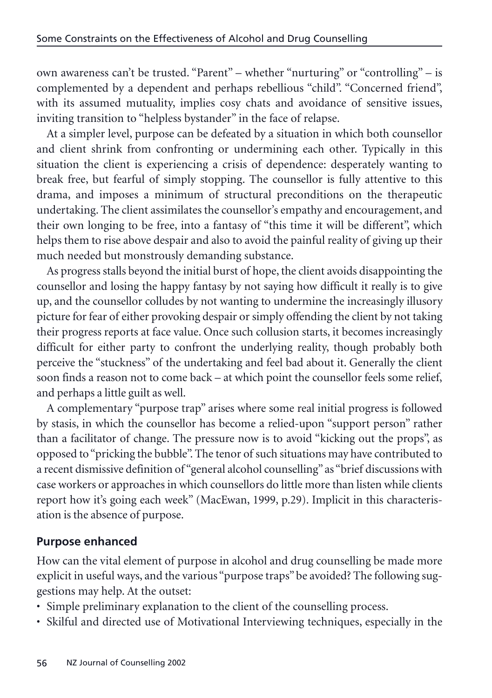own awareness can't be trusted. "Parent" – whether "nurturing" or "controlling" – is complemented by a dependent and perhaps rebellious "child". "Concerned friend", with its assumed mutuality, implies cosy chats and avoidance of sensitive issues, inviting transition to "helpless bystander" in the face of relapse.

At a simpler level, purpose can be defeated by a situation in which both counsellor and client shrink from confronting or undermining each other. Typically in this situation the client is experiencing a crisis of dependence: desperately wanting to break free, but fearful of simply stopping. The counsellor is fully attentive to this drama, and imposes a minimum of structural preconditions on the therapeutic undertaking. The client assimilates the counsellor's empathy and encouragement, and their own longing to be free, into a fantasy of "this time it will be different", which helps them to rise above despair and also to avoid the painful reality of giving up their much needed but monstrously demanding substance.

As progress stalls beyond the initial burst of hope, the client avoids disappointing the counsellor and losing the happy fantasy by not saying how difficult it really is to give up, and the counsellor colludes by not wanting to undermine the increasingly illusory picture for fear of either provoking despair or simply offending the client by not taking their progress reports at face value. Once such collusion starts, it becomes increasingly difficult for either party to confront the underlying reality, though probably both perceive the "stuckness" of the undertaking and feel bad about it. Generally the client soon finds a reason not to come back – at which point the counsellor feels some relief, and perhaps a little guilt as well.

A complementary "purpose trap" arises where some real initial progress is followed by stasis, in which the counsellor has become a relied-upon "support person" rather than a facilitator of change. The pressure now is to avoid "kicking out the props", as opposed to "pricking the bubble". The tenor of such situations may have contributed to a recent dismissive definition of "general alcohol counselling"as "brief discussions with case workers or approaches in which counsellors do little more than listen while clients report how it's going each week" (MacEwan, 1999, p.29). Implicit in this characterisation is the absence of purpose.

## **Purpose enhanced**

How can the vital element of purpose in alcohol and drug counselling be made more explicit in useful ways, and the various "purpose traps" be avoided? The following suggestions may help. At the outset:

- Simple preliminary explanation to the client of the counselling process.
- Skilful and directed use of Motivational Interviewing techniques, especially in the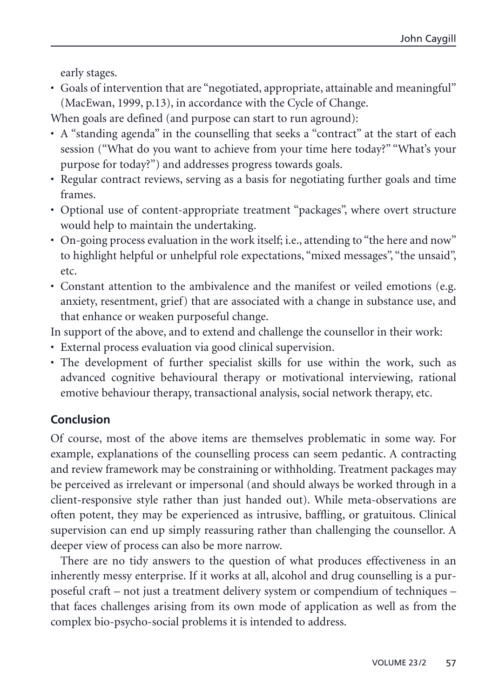early stages.

• Goals of intervention that are "negotiated, appropriate, attainable and meaningful" (MacEwan, 1999, p.13), in accordance with the Cycle of Change.

When goals are defined (and purpose can start to run aground):

- A "standing agenda" in the counselling that seeks a "contract" at the start of each session ("What do you want to achieve from your time here today?" "What's your purpose for today?") and addresses progress towards goals.
- Regular contract reviews, serving as a basis for negotiating further goals and time frames.
- Optional use of content-appropriate treatment "packages", where overt structure would help to maintain the undertaking.
- On-going process evaluation in the work itself; i.e., attending to "the here and now" to highlight helpful or unhelpful role expectations, "mixed messages", "the unsaid", etc.
- Constant attention to the ambivalence and the manifest or veiled emotions (e.g. anxiety, resentment, grief) that are associated with a change in substance use, and that enhance or weaken purposeful change.

In support of the above, and to extend and challenge the counsellor in their work:

- External process evaluation via good clinical supervision.
- The development of further specialist skills for use within the work, such as advanced cognitive behavioural therapy or motivational interviewing, rational emotive behaviour therapy, transactional analysis, social network therapy, etc.

# **Conclusion**

Of course, most of the above items are themselves problematic in some way. For example, explanations of the counselling process can seem pedantic. A contracting and review framework may be constraining or withholding. Treatment packages may be perceived as irrelevant or impersonal (and should always be worked through in a client-responsive style rather than just handed out). While meta-observations are often potent, they may be experienced as intrusive, baffling, or gratuitous. Clinical supervision can end up simply reassuring rather than challenging the counsellor. A deeper view of process can also be more narrow.

There are no tidy answers to the question of what produces effectiveness in an inherently messy enterprise. If it works at all, alcohol and drug counselling is a purposeful craft – not just a treatment delivery system or compendium of techniques – that faces challenges arising from its own mode of application as well as from the complex bio-psycho-social problems it is intended to address.